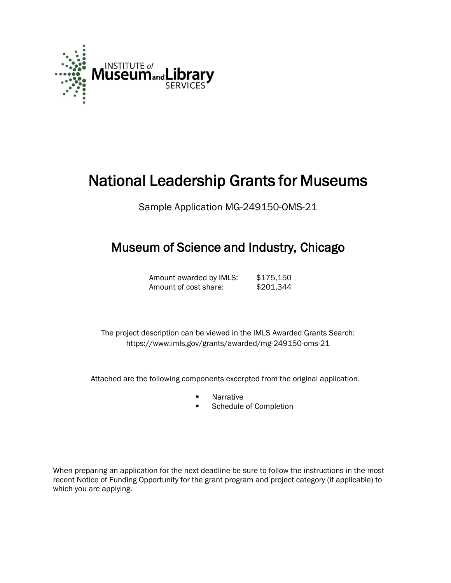

# National Leadership Grants for Museums

Sample Application MG-249150-OMS-21

## Museum of Science and Industry, Chicago

Amount awarded by IMLS: \$175,150 Amount of cost share: \$201,344

 The project description can be viewed in the IMLS Awarded Grants Search: <https://www.imls.gov/grants/awarded/mg-249150-oms-21>

Attached are the following components excerpted from the original application.

- **Narrative**
- Schedule of Completion

When preparing an application for the next deadline be sure to follow the instructions in the most recent Notice of Funding Opportunity for the grant program and project category (if applicable) to which you are applying.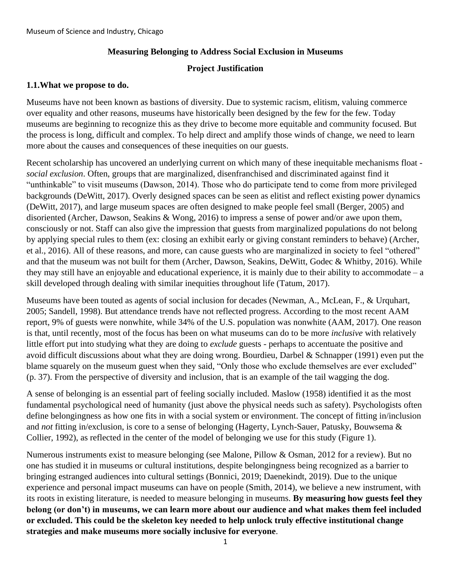#### **Measuring Belonging to Address Social Exclusion in Museums**

#### **Project Justification**

#### **1.1.What we propose to do.**

Museums have not been known as bastions of diversity. Due to systemic racism, elitism, valuing commerce over equality and other reasons, museums have historically been designed by the few for the few. Today museums are beginning to recognize this as they drive to become more equitable and community focused. But the process is long, difficult and complex. To help direct and amplify those winds of change, we need to learn more about the causes and consequences of these inequities on our guests.

Recent scholarship has uncovered an underlying current on which many of these inequitable mechanisms float *social exclusion*. Often, groups that are marginalized, disenfranchised and discriminated against find it "unthinkable" to visit museums (Dawson, 2014). Those who do participate tend to come from more privileged backgrounds (DeWitt, 2017). Overly designed spaces can be seen as elitist and reflect existing power dynamics (DeWitt, 2017), and large museum spaces are often designed to make people feel small (Berger, 2005) and disoriented (Archer, Dawson, Seakins & Wong, 2016) to impress a sense of power and/or awe upon them, consciously or not. Staff can also give the impression that guests from marginalized populations do not belong by applying special rules to them (ex: closing an exhibit early or giving constant reminders to behave) (Archer, et al., 2016). All of these reasons, and more, can cause guests who are marginalized in society to feel "othered" and that the museum was not built for them (Archer, Dawson, Seakins, DeWitt, Godec & Whitby, 2016). While they may still have an enjoyable and educational experience, it is mainly due to their ability to accommodate – a skill developed through dealing with similar inequities throughout life (Tatum, 2017).

Museums have been touted as agents of social inclusion for decades (Newman, A., McLean, F., & Urquhart, 2005; Sandell, 1998). But attendance trends have not reflected progress. According to the most recent AAM report, 9% of guests were nonwhite, while 34% of the U.S. population was nonwhite (AAM, 2017). One reason is that, until recently, most of the focus has been on what museums can do to be more *inclusive* with relatively little effort put into studying what they are doing to *exclude* guests - perhaps to accentuate the positive and avoid difficult discussions about what they are doing wrong. Bourdieu, Darbel & Schnapper (1991) even put the blame squarely on the museum guest when they said, "Only those who exclude themselves are ever excluded" (p. 37). From the perspective of diversity and inclusion, that is an example of the tail wagging the dog.

A sense of belonging is an essential part of feeling socially included. Maslow (1958) identified it as the most fundamental psychological need of humanity (just above the physical needs such as safety). Psychologists often define belongingness as how one fits in with a social system or environment. The concept of fitting in/inclusion and *not* fitting in/exclusion, is core to a sense of belonging (Hagerty, Lynch-Sauer, Patusky, Bouwsema & Collier, 1992), as reflected in the center of the model of belonging we use for this study (Figure 1).

Numerous instruments exist to measure belonging (see Malone, Pillow & Osman, 2012 for a review). But no one has studied it in museums or cultural institutions, despite belongingness being recognized as a barrier to bringing estranged audiences into cultural settings (Bonnici, 2019; Daenekindt, 2019). Due to the unique experience and personal impact museums can have on people (Smith, 2014), we believe a new instrument, with its roots in existing literature, is needed to measure belonging in museums. **By measuring how guests feel they belong (or don't) in museums, we can learn more about our audience and what makes them feel included or excluded. This could be the skeleton key needed to help unlock truly effective institutional change strategies and make museums more socially inclusive for everyone**.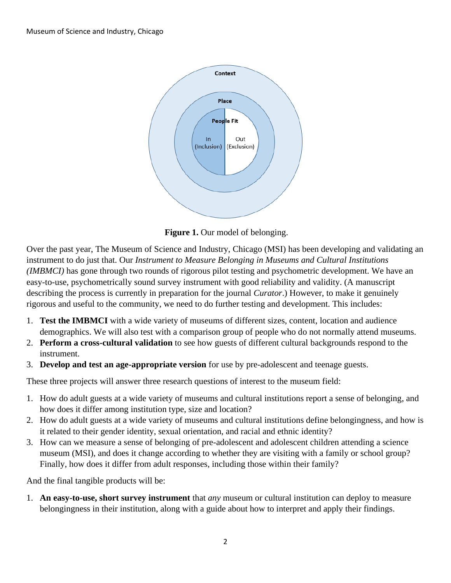

**Figure 1.** Our model of belonging.

Over the past year, The Museum of Science and Industry, Chicago (MSI) has been developing and validating an instrument to do just that. Our *Instrument to Measure Belonging in Museums and Cultural Institutions (IMBMCI)* has gone through two rounds of rigorous pilot testing and psychometric development. We have an easy-to-use, psychometrically sound survey instrument with good reliability and validity. (A manuscript describing the process is currently in preparation for the journal *Curator*.) However, to make it genuinely rigorous and useful to the community, we need to do further testing and development. This includes:

- 1. **Test the IMBMCI** with a wide variety of museums of different sizes, content, location and audience demographics. We will also test with a comparison group of people who do not normally attend museums.
- 2. **Perform a cross-cultural validation** to see how guests of different cultural backgrounds respond to the instrument.
- 3. **Develop and test an age-appropriate version** for use by pre-adolescent and teenage guests.

These three projects will answer three research questions of interest to the museum field:

- 1. How do adult guests at a wide variety of museums and cultural institutions report a sense of belonging, and how does it differ among institution type, size and location?
- 2. How do adult guests at a wide variety of museums and cultural institutions define belongingness, and how is it related to their gender identity, sexual orientation, and racial and ethnic identity?
- 3. How can we measure a sense of belonging of pre-adolescent and adolescent children attending a science museum (MSI), and does it change according to whether they are visiting with a family or school group? Finally, how does it differ from adult responses, including those within their family?

And the final tangible products will be:

1. **An easy-to-use, short survey instrument** that *any* museum or cultural institution can deploy to measure belongingness in their institution, along with a guide about how to interpret and apply their findings.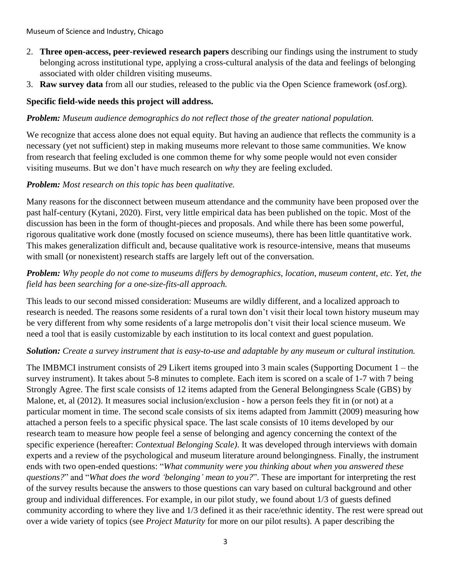- 2. **Three open-access, peer-reviewed research papers** describing our findings using the instrument to study belonging across institutional type, applying a cross-cultural analysis of the data and feelings of belonging associated with older children visiting museums.
- 3. **Raw survey data** from all our studies, released to the public via the Open Science framework (osf.org).

#### **Specific field-wide needs this project will address.**

#### *Problem: Museum audience demographics do not reflect those of the greater national population.*

We recognize that access alone does not equal equity. But having an audience that reflects the community is a necessary (yet not sufficient) step in making museums more relevant to those same communities. We know from research that feeling excluded is one common theme for why some people would not even consider visiting museums. But we don't have much research on *why* they are feeling excluded.

#### *Problem: Most research on this topic has been qualitative.*

Many reasons for the disconnect between museum attendance and the community have been proposed over the past half-century (Kytani, 2020). First, very little empirical data has been published on the topic. Most of the discussion has been in the form of thought-pieces and proposals. And while there has been some powerful, rigorous qualitative work done (mostly focused on science museums), there has been little quantitative work. This makes generalization difficult and, because qualitative work is resource-intensive, means that museums with small (or nonexistent) research staffs are largely left out of the conversation.

#### *Problem: Why people do not come to museums differs by demographics, location, museum content, etc. Yet, the field has been searching for a one-size-fits-all approach.*

This leads to our second missed consideration: Museums are wildly different, and a localized approach to research is needed. The reasons some residents of a rural town don't visit their local town history museum may be very different from why some residents of a large metropolis don't visit their local science museum. We need a tool that is easily customizable by each institution to its local context and guest population.

#### *Solution: Create a survey instrument that is easy-to-use and adaptable by any museum or cultural institution.*

The IMBMCI instrument consists of 29 Likert items grouped into 3 main scales (Supporting Document 1 – the survey instrument). It takes about 5-8 minutes to complete. Each item is scored on a scale of 1-7 with 7 being Strongly Agree. The first scale consists of 12 items adapted from the General Belongingness Scale (GBS) by Malone, et, al (2012). It measures social inclusion/exclusion - how a person feels they fit in (or not) at a particular moment in time. The second scale consists of six items adapted from Jammitt (2009) measuring how attached a person feels to a specific physical space. The last scale consists of 10 items developed by our research team to measure how people feel a sense of belonging and agency concerning the context of the specific experience (hereafter: *Contextual Belonging Scale)*. It was developed through interviews with domain experts and a review of the psychological and museum literature around belongingness. Finally, the instrument ends with two open-ended questions: "*What community were you thinking about when you answered these questions?*" and "*What does the word 'belonging' mean to you?*". These are important for interpreting the rest of the survey results because the answers to those questions can vary based on cultural background and other group and individual differences. For example, in our pilot study, we found about 1/3 of guests defined community according to where they live and 1/3 defined it as their race/ethnic identity. The rest were spread out over a wide variety of topics (see *Project Maturity* for more on our pilot results). A paper describing the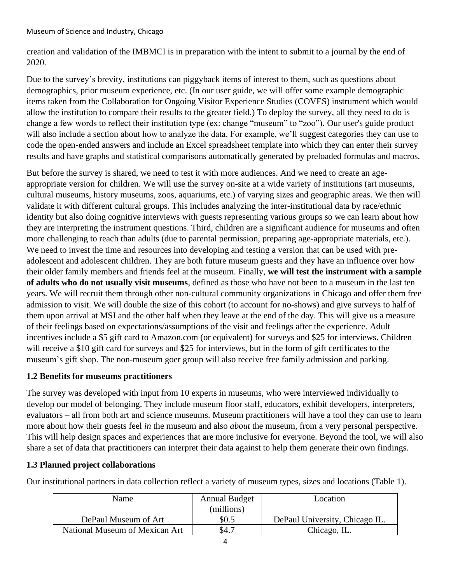creation and validation of the IMBMCI is in preparation with the intent to submit to a journal by the end of 2020.

Due to the survey's brevity, institutions can piggyback items of interest to them, such as questions about demographics, prior museum experience, etc. (In our user guide, we will offer some example demographic items taken from the Collaboration for Ongoing Visitor Experience Studies (COVES) instrument which would allow the institution to compare their results to the greater field.) To deploy the survey, all they need to do is change a few words to reflect their institution type (ex: change "museum" to "zoo"). Our user's guide product will also include a section about how to analyze the data. For example, we'll suggest categories they can use to code the open-ended answers and include an Excel spreadsheet template into which they can enter their survey results and have graphs and statistical comparisons automatically generated by preloaded formulas and macros.

But before the survey is shared, we need to test it with more audiences. And we need to create an ageappropriate version for children. We will use the survey on-site at a wide variety of institutions (art museums, cultural museums, history museums, zoos, aquariums, etc.) of varying sizes and geographic areas. We then will validate it with different cultural groups. This includes analyzing the inter-institutional data by race/ethnic identity but also doing cognitive interviews with guests representing various groups so we can learn about how they are interpreting the instrument questions. Third, children are a significant audience for museums and often more challenging to reach than adults (due to parental permission, preparing age-appropriate materials, etc.). We need to invest the time and resources into developing and testing a version that can be used with preadolescent and adolescent children. They are both future museum guests and they have an influence over how their older family members and friends feel at the museum. Finally, **we will test the instrument with a sample of adults who do not usually visit museums**, defined as those who have not been to a museum in the last ten years. We will recruit them through other non-cultural community organizations in Chicago and offer them free admission to visit. We will double the size of this cohort (to account for no-shows) and give surveys to half of them upon arrival at MSI and the other half when they leave at the end of the day. This will give us a measure of their feelings based on expectations/assumptions of the visit and feelings after the experience. Adult incentives include a \$5 gift card to Amazon.com (or equivalent) for surveys and \$25 for interviews. Children will receive a \$10 gift card for surveys and \$25 for interviews, but in the form of gift certificates to the museum's gift shop. The non-museum goer group will also receive free family admission and parking.

#### **1.2 Benefits for museums practitioners**

The survey was developed with input from 10 experts in museums, who were interviewed individually to develop our model of belonging. They include museum floor staff, educators, exhibit developers, interpreters, evaluators – all from both art and science museums. Museum practitioners will have a tool they can use to learn more about how their guests feel *in* the museum and also *about* the museum, from a very personal perspective. This will help design spaces and experiences that are more inclusive for everyone. Beyond the tool, we will also share a set of data that practitioners can interpret their data against to help them generate their own findings.

#### **1.3 Planned project collaborations**

Our institutional partners in data collection reflect a variety of museum types, sizes and locations (Table 1).

| Name                           | <b>Annual Budget</b><br>(millions) | Location                       |
|--------------------------------|------------------------------------|--------------------------------|
| DePaul Museum of Art           | \$0.5                              | DePaul University, Chicago IL. |
| National Museum of Mexican Art | \$4.7                              | Chicago, IL.                   |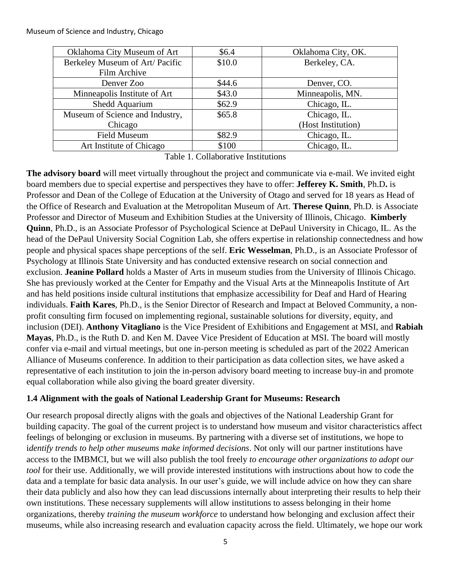| Oklahoma City Museum of Art     | \$6.4  | Oklahoma City, OK. |
|---------------------------------|--------|--------------------|
| Berkeley Museum of Art/ Pacific | \$10.0 | Berkeley, CA.      |
| Film Archive                    |        |                    |
| Denver Zoo                      | \$44.6 | Denver, CO.        |
| Minneapolis Institute of Art    | \$43.0 | Minneapolis, MN.   |
| Shedd Aquarium                  | \$62.9 | Chicago, IL.       |
| Museum of Science and Industry, | \$65.8 | Chicago, IL.       |
| Chicago                         |        | (Host Institution) |
| <b>Field Museum</b>             | \$82.9 | Chicago, IL.       |
| Art Institute of Chicago        | \$100  | Chicago, IL.       |

Table 1. Collaborative Institutions

**The advisory board** will meet virtually throughout the project and communicate via e-mail. We invited eight board members due to special expertise and perspectives they have to offer: **Jefferey K. Smith**, Ph.D**.** is Professor and Dean of the College of Education at the University of Otago and served for 18 years as Head of the Office of Research and Evaluation at the Metropolitan Museum of Art. **Therese Quinn**, Ph.D. is Associate Professor and Director of Museum and Exhibition Studies at the University of Illinois, Chicago. **Kimberly Quinn**, Ph.D., is an Associate Professor of Psychological Science at DePaul University in Chicago, IL. As the head of the DePaul University Social Cognition Lab, she offers expertise in relationship connectedness and how people and physical spaces shape perceptions of the self. **Eric Wesselman**, Ph.D., is an Associate Professor of Psychology at Illinois State University and has conducted extensive research on social connection and exclusion. **Jeanine Pollard** holds a Master of Arts in museum studies from the University of Illinois Chicago. She has previously worked at the Center for Empathy and the Visual Arts at the Minneapolis Institute of Art and has held positions inside cultural institutions that emphasize accessibility for Deaf and Hard of Hearing individuals. **Faith Kares**, Ph.D., is the Senior Director of Research and Impact at Beloved Community, a nonprofit consulting firm focused on implementing regional, sustainable solutions for diversity, equity, and inclusion (DEI). **Anthony Vitagliano** is the Vice President of Exhibitions and Engagement at MSI, and **Rabiah Mayas**, Ph.D., is the Ruth D. and Ken M. Davee Vice President of Education at MSI. The board will mostly confer via e-mail and virtual meetings, but one in-person meeting is scheduled as part of the 2022 American Alliance of Museums conference. In addition to their participation as data collection sites, we have asked a representative of each institution to join the in-person advisory board meeting to increase buy-in and promote equal collaboration while also giving the board greater diversity.

#### **1.4 Alignment with the goals of National Leadership Grant for Museums: Research**

Our research proposal directly aligns with the goals and objectives of the National Leadership Grant for building capacity. The goal of the current project is to understand how museum and visitor characteristics affect feelings of belonging or exclusion in museums. By partnering with a diverse set of institutions, we hope to i*dentify trends to help other museums make informed decisions*. Not only will our partner institutions have access to the IMBMCI, but we will also publish the tool freely *to encourage other organizations to adopt our tool* for their use. Additionally, we will provide interested institutions with instructions about how to code the data and a template for basic data analysis. In our user's guide, we will include advice on how they can share their data publicly and also how they can lead discussions internally about interpreting their results to help their own institutions. These necessary supplements will allow institutions to assess belonging in their home organizations, thereby *training the museum workforce* to understand how belonging and exclusion affect their museums, while also increasing research and evaluation capacity across the field. Ultimately, we hope our work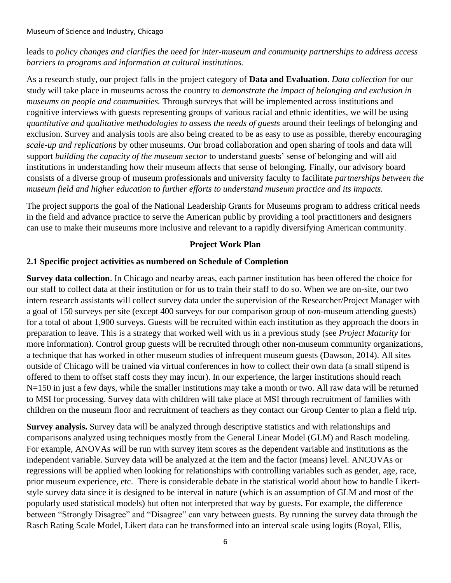leads to *policy changes and clarifies the need for inter-museum and community partnerships to address access barriers to programs and information at cultural institutions.*

As a research study, our project falls in the project category of **Data and Evaluation**. *Data collection* for our study will take place in museums across the country to *demonstrate the impact of belonging and exclusion in museums on people and communities.* Through surveys that will be implemented across institutions and cognitive interviews with guests representing groups of various racial and ethnic identities, we will be using *quantitative and qualitative methodologies to assess the needs of guests* around their feelings of belonging and exclusion. Survey and analysis tools are also being created to be as easy to use as possible, thereby encouraging *scale-up and replications* by other museums. Our broad collaboration and open sharing of tools and data will support *building the capacity of the museum sector* to understand guests' sense of belonging and will aid institutions in understanding how their museum affects that sense of belonging*.* Finally, our advisory board consists of a diverse group of museum professionals and university faculty to facilitate *partnerships between the museum field and higher education to further efforts to understand museum practice and its impacts.*

The project supports the goal of the National Leadership Grants for Museums program to address critical needs in the field and advance practice to serve the American public by providing a tool practitioners and designers can use to make their museums more inclusive and relevant to a rapidly diversifying American community.

#### **Project Work Plan**

#### **2.1 Specific project activities as numbered on Schedule of Completion**

**Survey data collection**. In Chicago and nearby areas, each partner institution has been offered the choice for our staff to collect data at their institution or for us to train their staff to do so. When we are on-site, our two intern research assistants will collect survey data under the supervision of the Researcher/Project Manager with a goal of 150 surveys per site (except 400 surveys for our comparison group of *non*-museum attending guests) for a total of about 1,900 surveys. Guests will be recruited within each institution as they approach the doors in preparation to leave. This is a strategy that worked well with us in a previous study (see *Project Maturity* for more information). Control group guests will be recruited through other non-museum community organizations, a technique that has worked in other museum studies of infrequent museum guests (Dawson, 2014). All sites outside of Chicago will be trained via virtual conferences in how to collect their own data (a small stipend is offered to them to offset staff costs they may incur). In our experience, the larger institutions should reach N=150 in just a few days, while the smaller institutions may take a month or two. All raw data will be returned to MSI for processing. Survey data with children will take place at MSI through recruitment of families with children on the museum floor and recruitment of teachers as they contact our Group Center to plan a field trip.

**Survey analysis.** Survey data will be analyzed through descriptive statistics and with relationships and comparisons analyzed using techniques mostly from the General Linear Model (GLM) and Rasch modeling. For example, ANOVAs will be run with survey item scores as the dependent variable and institutions as the independent variable. Survey data will be analyzed at the item and the factor (means) level. ANCOVAs or regressions will be applied when looking for relationships with controlling variables such as gender, age, race, prior museum experience, etc. There is considerable debate in the statistical world about how to handle Likertstyle survey data since it is designed to be interval in nature (which is an assumption of GLM and most of the popularly used statistical models) but often not interpreted that way by guests. For example, the difference between "Strongly Disagree" and "Disagree" can vary between guests. By running the survey data through the Rasch Rating Scale Model, Likert data can be transformed into an interval scale using logits (Royal, Ellis,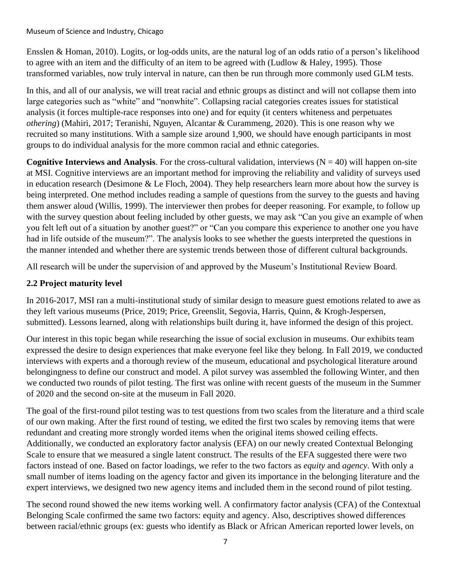Ensslen & Homan, 2010). Logits, or log-odds units, are the natural log of an odds ratio of a person's likelihood to agree with an item and the difficulty of an item to be agreed with (Ludlow & Haley, 1995). Those transformed variables, now truly interval in nature, can then be run through more commonly used GLM tests.

In this, and all of our analysis, we will treat racial and ethnic groups as distinct and will not collapse them into large categories such as "white" and "nonwhite". Collapsing racial categories creates issues for statistical analysis (it forces multiple-race responses into one) and for equity (it centers whiteness and perpetuates *othering*) (Mahiri, 2017; Teranishi, Nguyen, Alcantar & Curammeng, 2020). This is one reason why we recruited so many institutions. With a sample size around 1,900, we should have enough participants in most groups to do individual analysis for the more common racial and ethnic categories.

**Cognitive Interviews and Analysis**. For the cross-cultural validation, interviews  $(N = 40)$  will happen on-site at MSI. Cognitive interviews are an important method for improving the reliability and validity of surveys used in education research (Desimone & Le Floch, 2004). They help researchers learn more about how the survey is being interpreted. One method includes reading a sample of questions from the survey to the guests and having them answer aloud (Willis, 1999). The interviewer then probes for deeper reasoning. For example, to follow up with the survey question about feeling included by other guests, we may ask "Can you give an example of when you felt left out of a situation by another guest?" or "Can you compare this experience to another one you have had in life outside of the museum?". The analysis looks to see whether the guests interpreted the questions in the manner intended and whether there are systemic trends between those of different cultural backgrounds.

All research will be under the supervision of and approved by the Museum's Institutional Review Board.

#### **2.2 Project maturity level**

In 2016-2017, MSI ran a multi-institutional study of similar design to measure guest emotions related to awe as they left various museums (Price, 2019; Price, Greenslit, Segovia, Harris, Quinn, & Krogh-Jespersen, submitted). Lessons learned, along with relationships built during it, have informed the design of this project.

Our interest in this topic began while researching the issue of social exclusion in museums. Our exhibits team expressed the desire to design experiences that make everyone feel like they belong. In Fall 2019, we conducted interviews with experts and a thorough review of the museum, educational and psychological literature around belongingness to define our construct and model. A pilot survey was assembled the following Winter, and then we conducted two rounds of pilot testing. The first was online with recent guests of the museum in the Summer of 2020 and the second on-site at the museum in Fall 2020.

The goal of the first-round pilot testing was to test questions from two scales from the literature and a third scale of our own making. After the first round of testing, we edited the first two scales by removing items that were redundant and creating more strongly worded items when the original items showed ceiling effects. Additionally, we conducted an exploratory factor analysis (EFA) on our newly created Contextual Belonging Scale to ensure that we measured a single latent construct. The results of the EFA suggested there were two factors instead of one. Based on factor loadings, we refer to the two factors as *equity* and *agency*. With only a small number of items loading on the agency factor and given its importance in the belonging literature and the expert interviews, we designed two new agency items and included them in the second round of pilot testing.

The second round showed the new items working well. A confirmatory factor analysis (CFA) of the Contextual Belonging Scale confirmed the same two factors: equity and agency. Also, descriptives showed differences between racial/ethnic groups (ex: guests who identify as Black or African American reported lower levels, on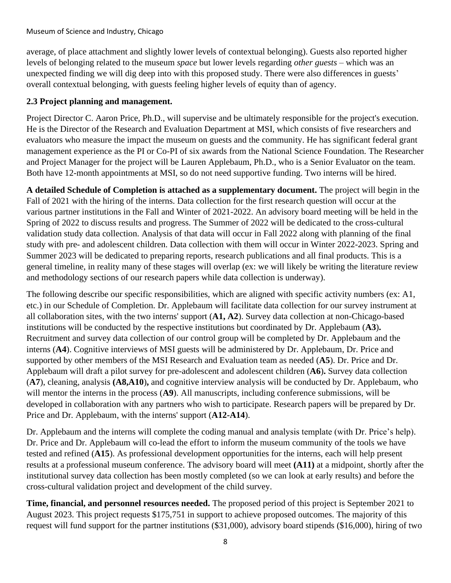average, of place attachment and slightly lower levels of contextual belonging). Guests also reported higher levels of belonging related to the museum *space* but lower levels regarding *other guests* – which was an unexpected finding we will dig deep into with this proposed study. There were also differences in guests' overall contextual belonging, with guests feeling higher levels of equity than of agency.

#### **2.3 Project planning and management.**

Project Director C. Aaron Price, Ph.D., will supervise and be ultimately responsible for the project's execution. He is the Director of the Research and Evaluation Department at MSI, which consists of five researchers and evaluators who measure the impact the museum on guests and the community. He has significant federal grant management experience as the PI or Co-PI of six awards from the National Science Foundation. The Researcher and Project Manager for the project will be Lauren Applebaum, Ph.D., who is a Senior Evaluator on the team. Both have 12-month appointments at MSI, so do not need supportive funding. Two interns will be hired.

**A detailed Schedule of Completion is attached as a supplementary document.** The project will begin in the Fall of 2021 with the hiring of the interns. Data collection for the first research question will occur at the various partner institutions in the Fall and Winter of 2021-2022. An advisory board meeting will be held in the Spring of 2022 to discuss results and progress. The Summer of 2022 will be dedicated to the cross-cultural validation study data collection. Analysis of that data will occur in Fall 2022 along with planning of the final study with pre- and adolescent children. Data collection with them will occur in Winter 2022-2023. Spring and Summer 2023 will be dedicated to preparing reports, research publications and all final products. This is a general timeline, in reality many of these stages will overlap (ex: we will likely be writing the literature review and methodology sections of our research papers while data collection is underway).

The following describe our specific responsibilities, which are aligned with specific activity numbers (ex: A1, etc.) in our Schedule of Completion. Dr. Applebaum will facilitate data collection for our survey instrument at all collaboration sites, with the two interns' support (**A1, A2**). Survey data collection at non-Chicago-based institutions will be conducted by the respective institutions but coordinated by Dr. Applebaum (**A3**)**.** Recruitment and survey data collection of our control group will be completed by Dr. Applebaum and the interns (**A4**). Cognitive interviews of MSI guests will be administered by Dr. Applebaum, Dr. Price and supported by other members of the MSI Research and Evaluation team as needed (**A5**). Dr. Price and Dr. Applebaum will draft a pilot survey for pre-adolescent and adolescent children (**A6**)**.** Survey data collection (**A7**), cleaning, analysis **(A8,A10**)**,** and cognitive interview analysis will be conducted by Dr. Applebaum, who will mentor the interns in the process (A9). All manuscripts, including conference submissions, will be developed in collaboration with any partners who wish to participate. Research papers will be prepared by Dr. Price and Dr. Applebaum, with the interns' support (**A12-A14**).

Dr. Applebaum and the interns will complete the coding manual and analysis template (with Dr. Price's help). Dr. Price and Dr. Applebaum will co-lead the effort to inform the museum community of the tools we have tested and refined (**A15**). As professional development opportunities for the interns, each will help present results at a professional museum conference. The advisory board will meet **(A11)** at a midpoint, shortly after the institutional survey data collection has been mostly completed (so we can look at early results) and before the cross-cultural validation project and development of the child survey.

**Time, financial, and personnel resources needed.** The proposed period of this project is September 2021 to August 2023. This project requests \$175,751 in support to achieve proposed outcomes. The majority of this request will fund support for the partner institutions (\$31,000), advisory board stipends (\$16,000), hiring of two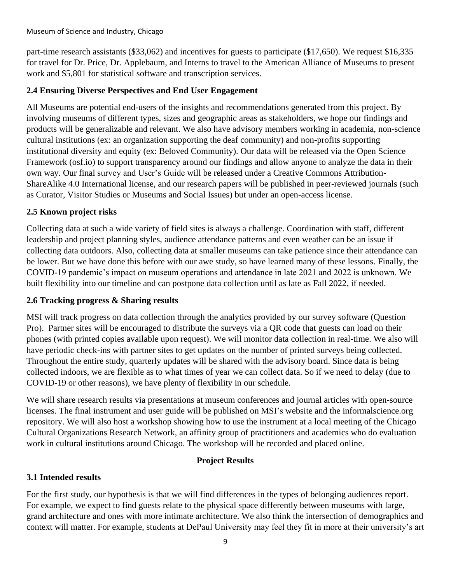part-time research assistants (\$33,062) and incentives for guests to participate (\$17,650). We request \$16,335 for travel for Dr. Price, Dr. Applebaum, and Interns to travel to the American Alliance of Museums to present work and \$5,801 for statistical software and transcription services.

#### **2.4 Ensuring Diverse Perspectives and End User Engagement**

All Museums are potential end-users of the insights and recommendations generated from this project. By involving museums of different types, sizes and geographic areas as stakeholders, we hope our findings and products will be generalizable and relevant. We also have advisory members working in academia, non-science cultural institutions (ex: an organization supporting the deaf community) and non-profits supporting institutional diversity and equity (ex: Beloved Community). Our data will be released via the Open Science Framework (osf.io) to support transparency around our findings and allow anyone to analyze the data in their own way. Our final survey and User's Guide will be released under a Creative Commons Attribution-ShareAlike 4.0 International license, and our research papers will be published in peer-reviewed journals (such as Curator, Visitor Studies or Museums and Social Issues) but under an open-access license.

#### **2.5 Known project risks**

Collecting data at such a wide variety of field sites is always a challenge. Coordination with staff, different leadership and project planning styles, audience attendance patterns and even weather can be an issue if collecting data outdoors. Also, collecting data at smaller museums can take patience since their attendance can be lower. But we have done this before with our awe study, so have learned many of these lessons. Finally, the COVID-19 pandemic's impact on museum operations and attendance in late 2021 and 2022 is unknown. We built flexibility into our timeline and can postpone data collection until as late as Fall 2022, if needed.

#### **2.6 Tracking progress & Sharing results**

MSI will track progress on data collection through the analytics provided by our survey software (Question Pro). Partner sites will be encouraged to distribute the surveys via a QR code that guests can load on their phones (with printed copies available upon request). We will monitor data collection in real-time. We also will have periodic check-ins with partner sites to get updates on the number of printed surveys being collected. Throughout the entire study, quarterly updates will be shared with the advisory board. Since data is being collected indoors, we are flexible as to what times of year we can collect data. So if we need to delay (due to COVID-19 or other reasons), we have plenty of flexibility in our schedule.

We will share research results via presentations at museum conferences and journal articles with open-source licenses. The final instrument and user guide will be published on MSI's website and the informalscience.org repository. We will also host a workshop showing how to use the instrument at a local meeting of the Chicago Cultural Organizations Research Network, an affinity group of practitioners and academics who do evaluation work in cultural institutions around Chicago. The workshop will be recorded and placed online.

#### **Project Results**

#### **3.1 Intended results**

For the first study, our hypothesis is that we will find differences in the types of belonging audiences report. For example, we expect to find guests relate to the physical space differently between museums with large, grand architecture and ones with more intimate architecture. We also think the intersection of demographics and context will matter. For example, students at DePaul University may feel they fit in more at their university's art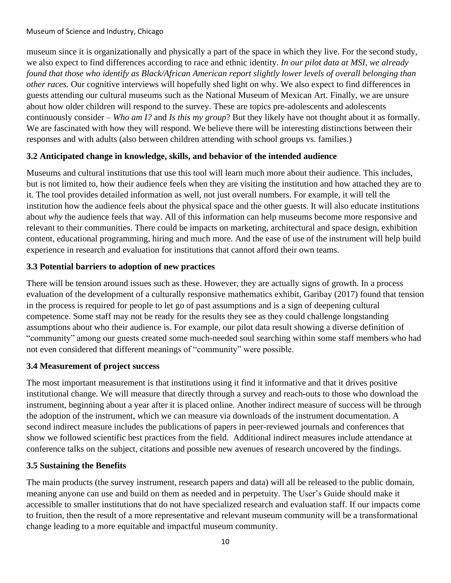museum since it is organizationally and physically a part of the space in which they live. For the second study, we also expect to find differences according to race and ethnic identity. *In our pilot data at MSI, we already found that those who identify as Black/African American report slightly lower levels of overall belonging than other races.* Our cognitive interviews will hopefully shed light on why. We also expect to find differences in guests attending our cultural museums such as the National Museum of Mexican Art. Finally, we are unsure about how older children will respond to the survey. These are topics pre-adolescents and adolescents continuously consider – *Who am I?* and *Is this my group*? But they likely have not thought about it as formally. We are fascinated with how they will respond. We believe there will be interesting distinctions between their responses and with adults (also between children attending with school groups vs. families.)

#### **3.2 Anticipated change in knowledge, skills, and behavior of the intended audience**

Museums and cultural institutions that use this tool will learn much more about their audience. This includes, but is not limited to, how their audience feels when they are visiting the institution and how attached they are to it. The tool provides detailed information as well, not just overall numbers. For example, it will tell the institution how the audience feels about the physical space and the other guests. It will also educate institutions about *why* the audience feels that way. All of this information can help museums become more responsive and relevant to their communities. There could be impacts on marketing, architectural and space design, exhibition content, educational programming, hiring and much more. And the ease of use of the instrument will help build experience in research and evaluation for institutions that cannot afford their own teams.

#### **3.3 Potential barriers to adoption of new practices**

There will be tension around issues such as these. However, they are actually signs of growth. In a process evaluation of the development of a culturally responsive mathematics exhibit, Garibay (2017) found that tension in the process is required for people to let go of past assumptions and is a sign of deepening cultural competence. Some staff may not be ready for the results they see as they could challenge longstanding assumptions about who their audience is. For example, our pilot data result showing a diverse definition of "community" among our guests created some much-needed soul searching within some staff members who had not even considered that different meanings of "community" were possible.

#### **3.4 Measurement of project success**

The most important measurement is that institutions using it find it informative and that it drives positive institutional change. We will measure that directly through a survey and reach-outs to those who download the instrument, beginning about a year after it is placed online. Another indirect measure of success will be through the adoption of the instrument, which we can measure via downloads of the instrument documentation. A second indirect measure includes the publications of papers in peer-reviewed journals and conferences that show we followed scientific best practices from the field. Additional indirect measures include attendance at conference talks on the subject, citations and possible new avenues of research uncovered by the findings.

#### **3.5 Sustaining the Benefits**

The main products (the survey instrument, research papers and data) will all be released to the public domain, meaning anyone can use and build on them as needed and in perpetuity. The User's Guide should make it accessible to smaller institutions that do not have specialized research and evaluation staff. If our impacts come to fruition, then the result of a more representative and relevant museum community will be a transformational change leading to a more equitable and impactful museum community.